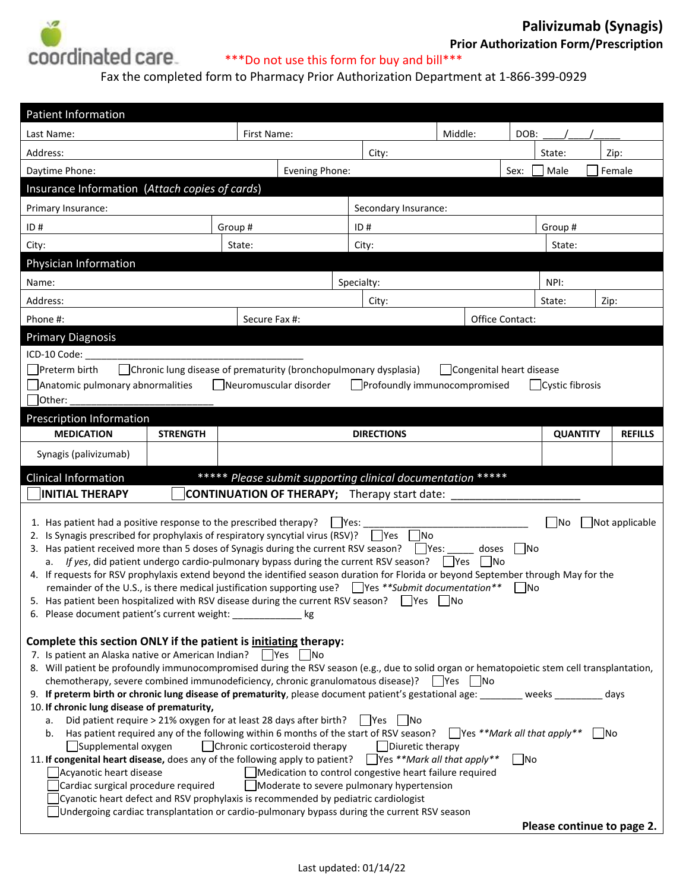

## **Prior Authorization Form/Prescription**

**Palivizumab (Synagis)**

Fax the completed form to Pharmacy Prior Authorization Department at 1-866-399-0929

| <b>Patient Information</b>                                                                                                                                                                                                        |               |                      |         |        |                 |                |  |
|-----------------------------------------------------------------------------------------------------------------------------------------------------------------------------------------------------------------------------------|---------------|----------------------|---------|--------|-----------------|----------------|--|
| Last Name:                                                                                                                                                                                                                        | First Name:   |                      | Middle: | DOB:   |                 |                |  |
| Address:                                                                                                                                                                                                                          | City:         |                      | State:  | Zip:   |                 |                |  |
| Evening Phone:<br>Female<br>Daytime Phone:<br>Male<br>Sex:                                                                                                                                                                        |               |                      |         |        |                 |                |  |
| Insurance Information (Attach copies of cards)                                                                                                                                                                                    |               |                      |         |        |                 |                |  |
| Primary Insurance:                                                                                                                                                                                                                |               | Secondary Insurance: |         |        |                 |                |  |
| ID#                                                                                                                                                                                                                               | Group#        | ID#                  |         |        | Group#          |                |  |
| City:                                                                                                                                                                                                                             | State:        | City:                |         |        | State:          |                |  |
| Physician Information                                                                                                                                                                                                             |               |                      |         |        |                 |                |  |
| Name:                                                                                                                                                                                                                             |               | Specialty:<br>NPI:   |         |        |                 |                |  |
| Address:                                                                                                                                                                                                                          |               | City:                |         | State: | Zip:            |                |  |
| Phone #:                                                                                                                                                                                                                          | Secure Fax #: | Office Contact:      |         |        |                 |                |  |
| <b>Primary Diagnosis</b>                                                                                                                                                                                                          |               |                      |         |        |                 |                |  |
| ICD-10 Code:                                                                                                                                                                                                                      |               |                      |         |        |                 |                |  |
| Chronic lung disease of prematurity (bronchopulmonary dysplasia)<br>Preterm birth<br>□ Congenital heart disease                                                                                                                   |               |                      |         |        |                 |                |  |
| Anatomic pulmonary abnormalities<br>  Neuromuscular disorder<br>Profoundly immunocompromised<br>Cystic fibrosis                                                                                                                   |               |                      |         |        |                 |                |  |
| Other:                                                                                                                                                                                                                            |               |                      |         |        |                 |                |  |
| Prescription Information<br><b>MEDICATION</b><br><b>STRENGTH</b>                                                                                                                                                                  |               | <b>DIRECTIONS</b>    |         |        | <b>QUANTITY</b> | <b>REFILLS</b> |  |
| Synagis (palivizumab)                                                                                                                                                                                                             |               |                      |         |        |                 |                |  |
|                                                                                                                                                                                                                                   |               |                      |         |        |                 |                |  |
| ***** Please submit supporting clinical documentation *****<br><b>Clinical Information</b><br><b>INITIAL THERAPY</b><br><b>CONTINUATION OF THERAPY;</b> Therapy start date:                                                       |               |                      |         |        |                 |                |  |
|                                                                                                                                                                                                                                   |               |                      |         |        |                 |                |  |
| 1. Has patient had a positive response to the prescribed therapy?<br>$ $ Yes:<br>lNo                                                                                                                                              |               |                      |         |        |                 | Not applicable |  |
| 2. Is Synagis prescribed for prophylaxis of respiratory syncytial virus (RSV)? Ves<br> No<br>3. Has patient received more than 5 doses of Synagis during the current RSV season? $\Box$ Yes:<br>$\Box$ No<br>doses                |               |                      |         |        |                 |                |  |
| If yes, did patient undergo cardio-pulmonary bypass during the current RSV season?<br>  Yes<br>  No<br>а.                                                                                                                         |               |                      |         |        |                 |                |  |
| 4. If requests for RSV prophylaxis extend beyond the identified season duration for Florida or beyond September through May for the                                                                                               |               |                      |         |        |                 |                |  |
| remainder of the U.S., is there medical justification supporting use? $\Box$ Yes **Submit documentation**<br><b>INo</b><br>5. Has patient been hospitalized with RSV disease during the current RSV season?<br><b>P</b> es<br> No |               |                      |         |        |                 |                |  |
| 6. Please document patient's current weight:<br>kg                                                                                                                                                                                |               |                      |         |        |                 |                |  |
|                                                                                                                                                                                                                                   |               |                      |         |        |                 |                |  |
| Complete this section ONLY if the patient is initiating therapy:<br>7. Is patient an Alaska native or American Indian? PYes No                                                                                                    |               |                      |         |        |                 |                |  |
| 8. Will patient be profoundly immunocompromised during the RSV season (e.g., due to solid organ or hematopoietic stem cell transplantation,                                                                                       |               |                      |         |        |                 |                |  |
| chemotherapy, severe combined immunodeficiency, chronic granulomatous disease)? $\Box$ Yes $\Box$ No                                                                                                                              |               |                      |         |        |                 |                |  |
| 9. If preterm birth or chronic lung disease of prematurity, please document patient's gestational age: weeks<br>days<br>10. If chronic lung disease of prematurity,                                                               |               |                      |         |        |                 |                |  |
| Did patient require > 21% oxygen for at least 28 days after birth?<br>   No<br>l Yes<br>а.                                                                                                                                        |               |                      |         |        |                 |                |  |
| $\Box$ Yes **Mark all that apply**<br>Has patient required any of the following within 6 months of the start of RSV season?<br>  No<br>b.                                                                                         |               |                      |         |        |                 |                |  |
| Chronic corticosteroid therapy<br>Supplemental oxygen<br>$\Box$ Diuretic therapy<br>$Yes **Mark all that apply**$<br>$\Box$ No                                                                                                    |               |                      |         |        |                 |                |  |
| 11. If congenital heart disease, does any of the following apply to patient?<br>Acyanotic heart disease<br>Medication to control congestive heart failure required                                                                |               |                      |         |        |                 |                |  |
| Cardiac surgical procedure required<br>Moderate to severe pulmonary hypertension                                                                                                                                                  |               |                      |         |        |                 |                |  |
| Cyanotic heart defect and RSV prophylaxis is recommended by pediatric cardiologist                                                                                                                                                |               |                      |         |        |                 |                |  |
| Undergoing cardiac transplantation or cardio-pulmonary bypass during the current RSV season<br>Please continue to page 2.                                                                                                         |               |                      |         |        |                 |                |  |
|                                                                                                                                                                                                                                   |               |                      |         |        |                 |                |  |